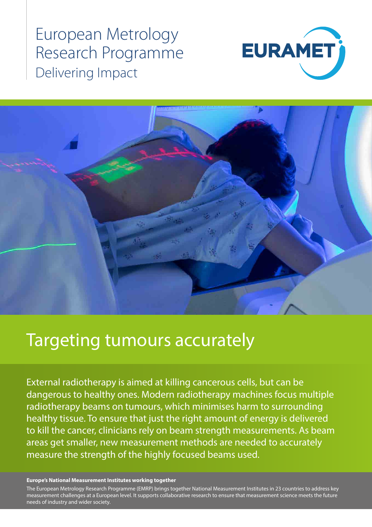European Metrology Research Programme Delivering Impact





# Targeting tumours accurately

External radiotherapy is aimed at killing cancerous cells, but can be dangerous to healthy ones. Modern radiotherapy machines focus multiple radiotherapy beams on tumours, which minimises harm to surrounding healthy tissue. To ensure that just the right amount of energy is delivered to kill the cancer, clinicians rely on beam strength measurements. As beam areas get smaller, new measurement methods are needed to accurately measure the strength of the highly focused beams used.

#### **Europe's National Measurement Institutes working together**

The European Metrology Research Programme (EMRP) brings together National Measurement Institutes in 23 countries to address key measurement challenges at a European level. It supports collaborative research to ensure that measurement science meets the future needs of industry and wider society.